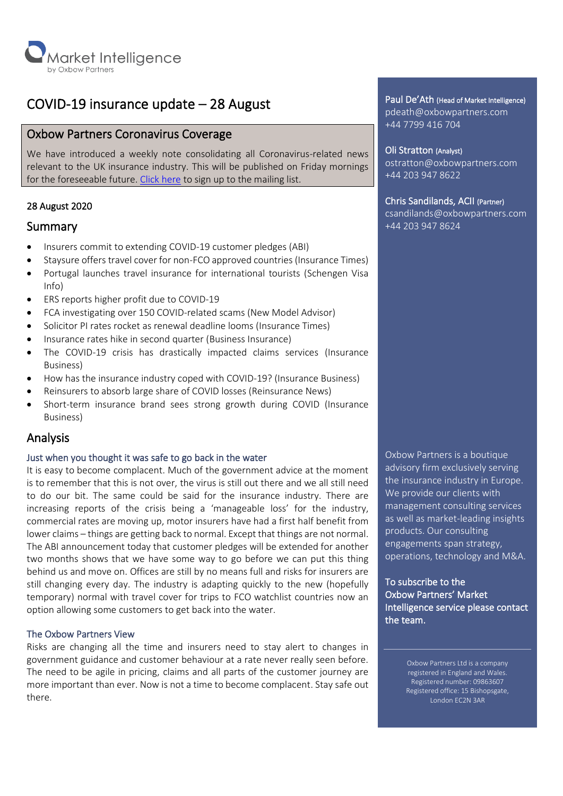

# COVID-19 insurance update – 28 August

# Oxbow Partners Coronavirus Coverage

We have introduced a weekly note consolidating all Coronavirus-related news relevant to the UK insurance industry. This will be published on Friday mornings for the foreseeable future. [Click here](http://oxbowpartners-7474208.hs-sites.com/covid-19) to sign up to the mailing list.

# 28 August 2020

# Summary

- Insurers commit to extending COVID-19 customer pledges (ABI)
- Staysure offers travel cover for non-FCO approved countries (Insurance Times)
- Portugal launches travel insurance for international tourists (Schengen Visa Info)
- ERS reports higher profit due to COVID-19
- FCA investigating over 150 COVID-related scams (New Model Advisor)
- Solicitor PI rates rocket as renewal deadline looms (Insurance Times)
- Insurance rates hike in second quarter (Business Insurance)
- The COVID-19 crisis has drastically impacted claims services (Insurance Business)
- How has the insurance industry coped with COVID-19? (Insurance Business)
- Reinsurers to absorb large share of COVID losses (Reinsurance News)
- Short-term insurance brand sees strong growth during COVID (Insurance Business)

# Analysis

# Just when you thought it was safe to go back in the water

It is easy to become complacent. Much of the government advice at the moment is to remember that this is not over, the virus is still out there and we all still need to do our bit. The same could be said for the insurance industry. There are increasing reports of the crisis being a 'manageable loss' for the industry, commercial rates are moving up, motor insurers have had a first half benefit from lower claims – things are getting back to normal. Except that things are not normal. The ABI announcement today that customer pledges will be extended for another two months shows that we have some way to go before we can put this thing behind us and move on. Offices are still by no means full and risks for insurers are still changing every day. The industry is adapting quickly to the new (hopefully temporary) normal with travel cover for trips to FCO watchlist countries now an option allowing some customers to get back into the water.

# The Oxbow Partners View

Risks are changing all the time and insurers need to stay alert to changes in government guidance and customer behaviour at a rate never really seen before. The need to be agile in pricing, claims and all parts of the customer journey are more important than ever. Now is not a time to become complacent. Stay safe out there.

Paul De'Ath (Head of Market Intelligence) pdeath@oxbowpartners.com +44 7799 416 704

Oli Stratton (Analyst) ostratton@oxbowpartners.com +44 203 947 8622

# Chris Sandilands, ACII (Partner)

csandilands@oxbowpartners.com +44 203 947 8624

Oxbow Partners is a boutique advisory firm exclusively serving the insurance industry in Europe. We provide our clients with management consulting services as well as market-leading insights products. Our consulting engagements span strategy, operations, technology and M&A.

To subscribe to the Oxbow Partners' Market Intelligence service please contact the team.

> Oxbow Partners Ltd is a company registered in England and Wales. Registered number: 09863607 Registered office: 15 Bishopsgate, London EC2N 3AR

l<br>L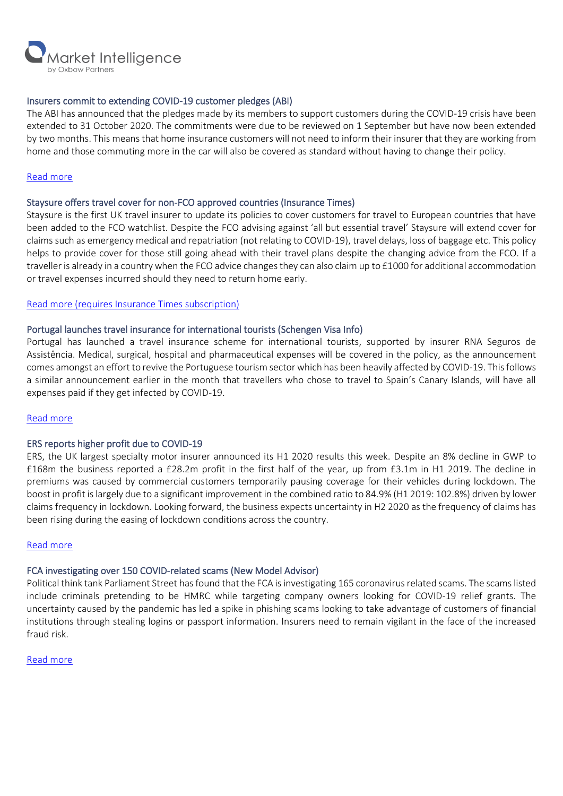

# Insurers commit to extending COVID-19 customer pledges (ABI)

The ABI has announced that the pledges made by its members to support customers during the COVID-19 crisis have been extended to 31 October 2020. The commitments were due to be reviewed on 1 September but have now been extended by two months. This means that home insurance customers will not need to inform their insurer that they are working from home and those commuting more in the car will also be covered as standard without having to change their policy.

#### [Read more](https://www.abi.org.uk/news/news-articles/2020/08/insurers-commit-to-extending-covid-19-customer-pledges/)

#### Staysure offers travel cover for non-FCO approved countries (Insurance Times)

Staysure is the first UK travel insurer to update its policies to cover customers for travel to European countries that have been added to the FCO watchlist. Despite the FCO advising against 'all but essential travel' Staysure will extend cover for claims such as emergency medical and repatriation (not relating to COVID-19), travel delays, loss of baggage etc. This policy helps to provide cover for those still going ahead with their travel plans despite the changing advice from the FCO. If a traveller is already in a country when the FCO advice changes they can also claim up to £1000 for additional accommodation or travel expenses incurred should they need to return home early.

#### Read more [\(requires Insurance Times subscription\)](https://www.insurancetimes.co.uk/news/uk-travel-insurer-to-cover-fco-watchlist-european-destinations/1434263.article)

#### Portugal launches travel insurance for international tourists (Schengen Visa Info)

Portugal has launched a travel insurance scheme for international tourists, supported by insurer RNA Seguros de Assistência. Medical, surgical, hospital and pharmaceutical expenses will be covered in the policy, as the announcement comes amongst an effort to revive the Portuguese tourism sector which has been heavily affected by COVID-19. This follows a similar announcement earlier in the month that travellers who chose to travel to Spain's Canary Islands, will have all expenses paid if they get infected by COVID-19.

#### [Read more](https://www.schengenvisainfo.com/news/portugal-launches-travel-insurance-for-international-tourists-amid-covid-19/)

#### ERS reports higher profit due to COVID-19

ERS, the UK largest specialty motor insurer announced its H1 2020 results this week. Despite an 8% decline in GWP to £168m the business reported a £28.2m profit in the first half of the year, up from £3.1m in H1 2019. The decline in premiums was caused by commercial customers temporarily pausing coverage for their vehicles during lockdown. The boost in profit is largely due to a significant improvement in the combined ratio to 84.9% (H1 2019: 102.8%) driven by lower claims frequency in lockdown. Looking forward, the business expects uncertainty in H2 2020 as the frequency of claims has been rising during the easing of lockdown conditions across the country.

#### [Read more](https://www.ers.com/news/2020/ers-cements-its-position-as-leading-specialist-insurer-in-a-turbulent-first-half-of-2020)

# FCA investigating over 150 COVID-related scams (New Model Advisor)

Political think tank Parliament Street has found that the FCA is investigating 165 coronavirus related scams. The scams listed include criminals pretending to be HMRC while targeting company owners looking for COVID-19 relief grants. The uncertainty caused by the pandemic has led a spike in phishing scams looking to take advantage of customers of financial institutions through stealing logins or passport information. Insurers need to remain vigilant in the face of the increased fraud risk.

#### [Read more](https://citywire.co.uk/new-model-adviser/news/fca-investigates-165-covid-19-scams/a1393384?re=77319&ea=1492108&utm_source=BulkEmail_NMA_Daily_Single_EAM&utm_medium=BulkEmail_NMA_Daily_Single_EAM&utm_campaign=BulkEmail_NMA_Daily_Single_EAM)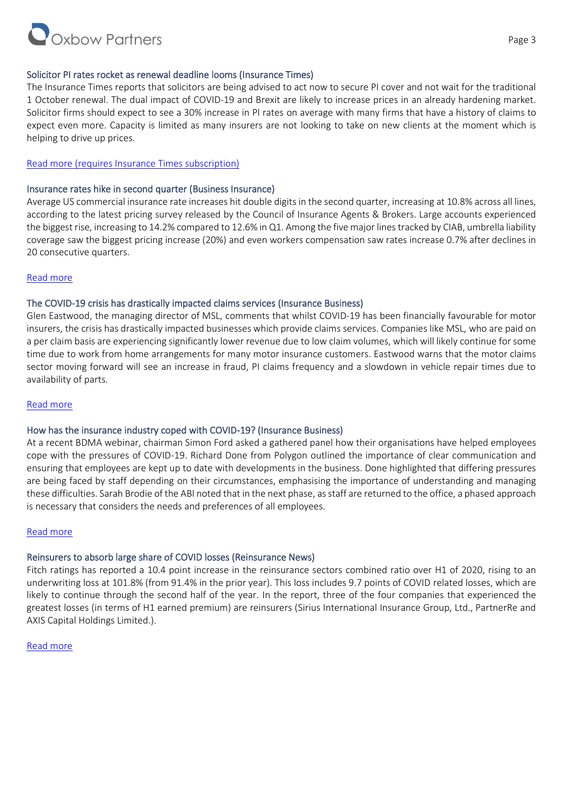

# Solicitor PI rates rocket as renewal deadline looms (Insurance Times)

The Insurance Times reports that solicitors are being advised to act now to secure PI cover and not wait for the traditional 1 October renewal. The dual impact of COVID-19 and Brexit are likely to increase prices in an already hardening market. Solicitor firms should expect to see a 30% increase in PI rates on average with many firms that have a history of claims to expect even more. Capacity is limited as many insurers are not looking to take on new clients at the moment which is helping to drive up prices.

# Read more [\(requires Insurance Times subscription\)](https://www.insurancetimes.co.uk/news/solicitor-pi-rates-rocket-as-renewal-deadline-looms/1434277.article)

#### Insurance rates hike in second quarter (Business Insurance)

Average US commercial insurance rate increases hit double digits in the second quarter, increasing at 10.8% across all lines, according to the latest pricing survey released by the Council of Insurance Agents & Brokers. Large accounts experienced the biggest rise, increasing to 14.2% compared to 12.6% in Q1. Among the five major lines tracked by CIAB, umbrella liability coverage saw the biggest pricing increase (20%) and even workers compensation saw rates increase 0.7% after declines in 20 consecutive quarters.

#### [Read more](https://www.businessinsurance.com/article/20200824/NEWS06/912336254/Insurance-rate-hikes-accelerate-in-second-quarter)

#### The COVID-19 crisis has drastically impacted claims services (Insurance Business)

Glen Eastwood, the managing director of MSL, comments that whilst COVID-19 has been financially favourable for motor insurers, the crisis has drastically impacted businesses which provide claims services. Companies like MSL, who are paid on a per claim basis are experiencing significantly lower revenue due to low claim volumes, which will likely continue for some time due to work from home arrangements for many motor insurance customers. Eastwood warns that the motor claims sector moving forward will see an increase in fraud, PI claims frequency and a slowdown in vehicle repair times due to availability of parts.

#### [Read more](https://www.insurancebusinessmag.com/uk/news/breaking-news/how-the-covid19-crisis-has-drastically-impacted-claims-services-231664.aspx)

# How has the insurance industry coped with COVID-19? (Insurance Business)

At a recent BDMA webinar, chairman Simon Ford asked a gathered panel how their organisations have helped employees cope with the pressures of COVID-19. Richard Done from Polygon outlined the importance of clear communication and ensuring that employees are kept up to date with developments in the business. Done highlighted that differing pressures are being faced by staff depending on their circumstances, emphasising the importance of understanding and managing these difficulties. Sarah Brodie of the ABI noted that in the next phase, as staff are returned to the office, a phased approach is necessary that considers the needs and preferences of all employees.

#### [Read more](https://www.insurancebusinessmag.com/uk/news/business-resilience/abi-axa-insurance-bdma-sedgwick-and-more-on-coping-with-the-covid19-crisis-231787.aspx)

# Reinsurers to absorb large share of COVID losses (Reinsurance News)

Fitch ratings has reported a 10.4 point increase in the reinsurance sectors combined ratio over H1 of 2020, rising to an underwriting loss at 101.8% (from 91.4% in the prior year). This loss includes 9.7 points of COVID related losses, which are likely to continue through the second half of the year. In the report, three of the four companies that experienced the greatest losses (in terms of H1 earned premium) are reinsurers (Sirius International Insurance Group, Ltd., PartnerRe and AXIS Capital Holdings Limited.).

#### [Read more](https://www.reinsurancene.ws/reinsurers-to-absorb-large-share-of-covid-losses-fitch/)